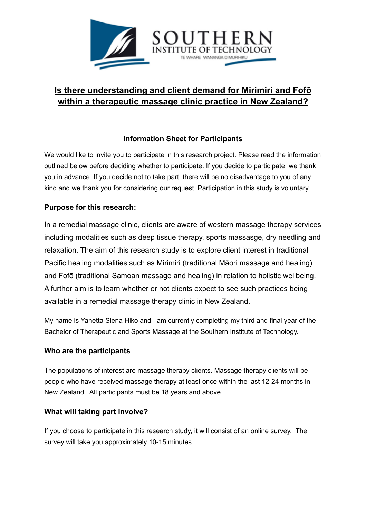

# **Is there understanding and client demand for Mirimiri and Fofō within a therapeutic massage clinic practice in New Zealand?**

## **Information Sheet for Participants**

We would like to invite you to participate in this research project. Please read the information outlined below before deciding whether to participate. If you decide to participate, we thank you in advance. If you decide not to take part, there will be no disadvantage to you of any kind and we thank you for considering our request. Participation in this study is voluntary.

### **Purpose for this research:**

In a remedial massage clinic, clients are aware of western massage therapy services including modalities such as deep tissue therapy, sports massasge, dry needling and relaxation. The aim of this research study is to explore client interest in traditional Pacific healing modalities such as Mirimiri (traditional Māori massage and healing) and Fofō (traditional Samoan massage and healing) in relation to holistic wellbeing. A further aim is to learn whether or not clients expect to see such practices being available in a remedial massage therapy clinic in New Zealand.

My name is Yanetta Siena Hiko and I am currently completing my third and final year of the Bachelor of Therapeutic and Sports Massage at the Southern Institute of Technology.

#### **Who are the participants**

The populations of interest are massage therapy clients. Massage therapy clients will be people who have received massage therapy at least once within the last 12-24 months in New Zealand. All participants must be 18 years and above.

#### **What will taking part involve?**

If you choose to participate in this research study, it will consist of an online survey. The survey will take you approximately 10-15 minutes.